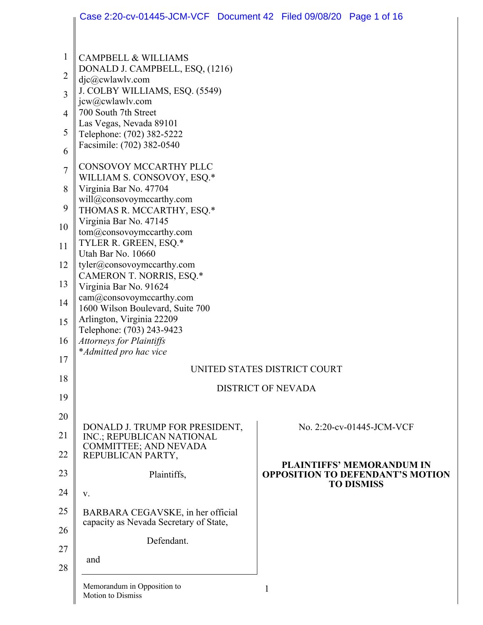|                | Case 2:20-cv-01445-JCM-VCF  Document 42  Filed 09/08/20  Page 1 of 16 |   |  |                                                                             |  |  |
|----------------|-----------------------------------------------------------------------|---|--|-----------------------------------------------------------------------------|--|--|
|                |                                                                       |   |  |                                                                             |  |  |
| $\mathbf{1}$   | <b>CAMPBELL &amp; WILLIAMS</b>                                        |   |  |                                                                             |  |  |
| $\overline{2}$ | DONALD J. CAMPBELL, ESQ, (1216)<br>$d$ jc $@c$ wlawlv.com             |   |  |                                                                             |  |  |
| 3              | J. COLBY WILLIAMS, ESQ. (5549)<br>jcw@cwlawlv.com                     |   |  |                                                                             |  |  |
| 4              | 700 South 7th Street                                                  |   |  |                                                                             |  |  |
| 5              | Las Vegas, Nevada 89101<br>Telephone: (702) 382-5222                  |   |  |                                                                             |  |  |
| 6              | Facsimile: (702) 382-0540                                             |   |  |                                                                             |  |  |
| $\overline{7}$ | CONSOVOY MCCARTHY PLLC<br>WILLIAM S. CONSOVOY, ESQ.*                  |   |  |                                                                             |  |  |
| 8              | Virginia Bar No. 47704                                                |   |  |                                                                             |  |  |
| 9              | will@consovoymccarthy.com<br>THOMAS R. MCCARTHY, ESQ.*                |   |  |                                                                             |  |  |
| 10             | Virginia Bar No. 47145<br>tom@consovoymccarthy.com                    |   |  |                                                                             |  |  |
| 11             | TYLER R. GREEN, ESQ.*                                                 |   |  |                                                                             |  |  |
| 12             | Utah Bar No. 10660<br>tyler@consovoymccarthy.com                      |   |  |                                                                             |  |  |
| 13             | CAMERON T. NORRIS, ESQ.*<br>Virginia Bar No. 91624                    |   |  |                                                                             |  |  |
| 14             | cam@consovoymccarthy.com                                              |   |  |                                                                             |  |  |
| 15             | 1600 Wilson Boulevard, Suite 700<br>Arlington, Virginia 22209         |   |  |                                                                             |  |  |
| 16             | Telephone: (703) 243-9423<br><b>Attorneys for Plaintiffs</b>          |   |  |                                                                             |  |  |
| 17             | *Admitted pro hac vice                                                |   |  |                                                                             |  |  |
| 18             | UNITED STATES DISTRICT COURT                                          |   |  |                                                                             |  |  |
| 19             | <b>DISTRICT OF NEVADA</b>                                             |   |  |                                                                             |  |  |
| 20             |                                                                       |   |  |                                                                             |  |  |
| 21             | DONALD J. TRUMP FOR PRESIDENT,<br>INC.; REPUBLICAN NATIONAL           |   |  | No. 2:20-cv-01445-JCM-VCF                                                   |  |  |
| 22             | COMMITTEE; AND NEVADA<br>REPUBLICAN PARTY,                            |   |  |                                                                             |  |  |
| 23             | Plaintiffs,                                                           |   |  | <b>PLAINTIFFS' MEMORANDUM IN</b><br><b>OPPOSITION TO DEFENDANT'S MOTION</b> |  |  |
| 24             | V.                                                                    |   |  | <b>TO DISMISS</b>                                                           |  |  |
| 25             | BARBARA CEGAVSKE, in her official                                     |   |  |                                                                             |  |  |
| 26             | capacity as Nevada Secretary of State,                                |   |  |                                                                             |  |  |
| 27             | Defendant.                                                            |   |  |                                                                             |  |  |
| 28             | and                                                                   |   |  |                                                                             |  |  |
|                | Memorandum in Opposition to<br>Motion to Dismiss                      | 1 |  |                                                                             |  |  |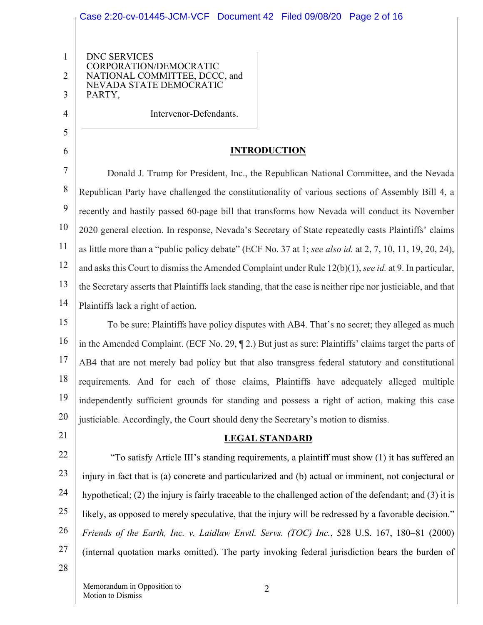# Case 2:20-cv-01445-JCM-VCF Document 42 Filed 09/08/20 Page 2 of 16

DNC SERVICES CORPORATION/DEMOCRATIC NATIONAL COMMITTEE, DCCC, and NEVADA STATE DEMOCRATIC PARTY,

Intervenor-Defendants.

## **INTRODUCTION**

7 8 9 10 11 12 13 14 Donald J. Trump for President, Inc., the Republican National Committee, and the Nevada Republican Party have challenged the constitutionality of various sections of Assembly Bill 4, a recently and hastily passed 60-page bill that transforms how Nevada will conduct its November 2020 general election. In response, Nevada's Secretary of State repeatedly casts Plaintiffs' claims as little more than a "public policy debate" (ECF No. 37 at 1; *see also id.* at 2, 7, 10, 11, 19, 20, 24), and asks this Court to dismiss the Amended Complaint under Rule 12(b)(1), *see id.* at 9. In particular, the Secretary asserts that Plaintiffs lack standing, that the case is neither ripe nor justiciable, and that Plaintiffs lack a right of action.

15 16 17 18 19 20 To be sure: Plaintiffs have policy disputes with AB4. That's no secret; they alleged as much in the Amended Complaint. (ECF No. 29, ¶ 2.) But just as sure: Plaintiffs' claims target the parts of AB4 that are not merely bad policy but that also transgress federal statutory and constitutional requirements. And for each of those claims, Plaintiffs have adequately alleged multiple independently sufficient grounds for standing and possess a right of action, making this case justiciable. Accordingly, the Court should deny the Secretary's motion to dismiss.

21

1

2

3

4

5

6

### **LEGAL STANDARD**

22 23 24 25 26 27 "To satisfy Article III's standing requirements, a plaintiff must show (1) it has suffered an injury in fact that is (a) concrete and particularized and (b) actual or imminent, not conjectural or hypothetical; (2) the injury is fairly traceable to the challenged action of the defendant; and (3) it is likely, as opposed to merely speculative, that the injury will be redressed by a favorable decision." *Friends of the Earth, Inc. v. Laidlaw Envtl. Servs. (TOC) Inc.*, 528 U.S. 167, 180-81 (2000) (internal quotation marks omitted). The party invoking federal jurisdiction bears the burden of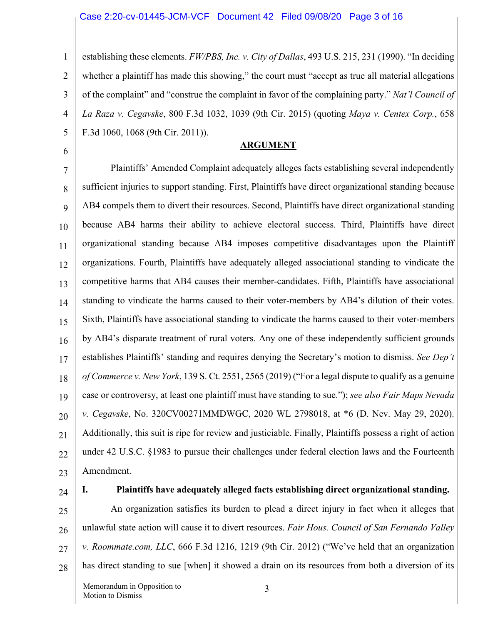#### Case 2:20-cv-01445-JCM-VCF Document 42 Filed 09/08/20 Page 3 of 16

1 2 3 4 5 establishing these elements. *FW/PBS, Inc. v. City of Dallas*, 493 U.S. 215, 231 (1990). "In deciding whether a plaintiff has made this showing," the court must "accept as true all material allegations of the complaint" and "construe the complaint in favor of the complaining party." *Nat'l Council of La Raza v. Cegavske*, 800 F.3d 1032, 1039 (9th Cir. 2015) (quoting *Maya v. Centex Corp.*, 658 F.3d 1060, 1068 (9th Cir. 2011)).

**ARGUMENT**

7 8 9 10 11 12 13 14 15 16 17 18 19 20 21 22 23 Plaintiffs' Amended Complaint adequately alleges facts establishing several independently sufficient injuries to support standing. First, Plaintiffs have direct organizational standing because AB4 compels them to divert their resources. Second, Plaintiffs have direct organizational standing because AB4 harms their ability to achieve electoral success. Third, Plaintiffs have direct organizational standing because AB4 imposes competitive disadvantages upon the Plaintiff organizations. Fourth, Plaintiffs have adequately alleged associational standing to vindicate the competitive harms that AB4 causes their member-candidates. Fifth, Plaintiffs have associational standing to vindicate the harms caused to their voter-members by AB4's dilution of their votes. Sixth, Plaintiffs have associational standing to vindicate the harms caused to their voter-members by AB4's disparate treatment of rural voters. Any one of these independently sufficient grounds establishes Plaintiffs' standing and requires denying the Secretary's motion to dismiss. *See Dep't of Commerce v. New York*, 139 S. Ct. 2551, 2565 (2019) ("For a legal dispute to qualify as a genuine case or controversy, at least one plaintiff must have standing to sue."); *see also Fair Maps Nevada v. Cegavske*, No. 320CV00271MMDWGC, 2020 WL 2798018, at \*6 (D. Nev. May 29, 2020). Additionally, this suit is ripe for review and justiciable. Finally, Plaintiffs possess a right of action under 42 U.S.C. §1983 to pursue their challenges under federal election laws and the Fourteenth Amendment.

24

6

#### **I. Plaintiffs have adequately alleged facts establishing direct organizational standing.**

25 26 27 28 An organization satisfies its burden to plead a direct injury in fact when it alleges that unlawful state action will cause it to divert resources. *Fair Hous. Council of San Fernando Valley v. Roommate.com, LLC*, 666 F.3d 1216, 1219 (9th Cir. 2012) ("We've held that an organization has direct standing to sue [when] it showed a drain on its resources from both a diversion of its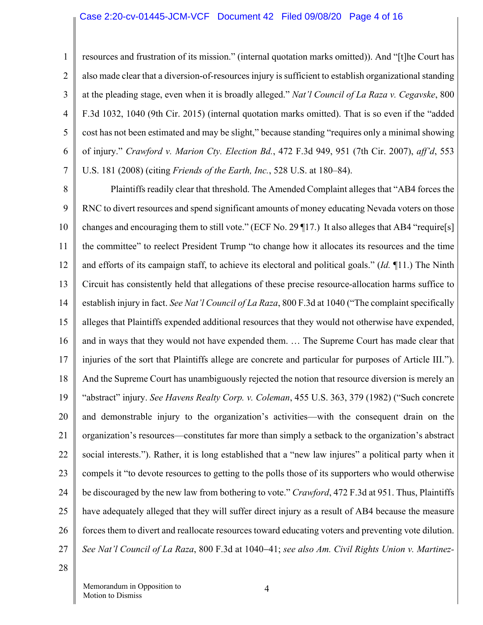#### Case 2:20-cv-01445-JCM-VCF Document 42 Filed 09/08/20 Page 4 of 16

2 3 4 5 6 7 resources and frustration of its mission." (internal quotation marks omitted)). And "[t]he Court has also made clear that a diversion-of-resources injury is sufficient to establish organizational standing at the pleading stage, even when it is broadly alleged." *Nat'l Council of La Raza v. Cegavske*, 800 F.3d 1032, 1040 (9th Cir. 2015) (internal quotation marks omitted). That is so even if the "added cost has not been estimated and may be slight," because standing "requires only a minimal showing of injury." *Crawford v. Marion Cty. Election Bd.*, 472 F.3d 949, 951 (7th Cir. 2007), *aff'd*, 553 U.S. 181 (2008) (citing *Friends of the Earth, Inc.*, 528 U.S. at 180–84).

8 9 10 11 12 13 14 15 16 17 18 19 20 21 22 23 24 25 26 27 Plaintiffs readily clear that threshold. The Amended Complaint alleges that "AB4 forces the RNC to divert resources and spend significant amounts of money educating Nevada voters on those changes and encouraging them to still vote." (ECF No. 29 ¶17.) It also alleges that AB4 "require[s] the committee" to reelect President Trump "to change how it allocates its resources and the time and efforts of its campaign staff, to achieve its electoral and political goals." (*Id.* ¶11.) The Ninth Circuit has consistently held that allegations of these precise resource-allocation harms suffice to establish injury in fact. *See Nat'l Council of La Raza*, 800 F.3d at 1040 ("The complaint specifically alleges that Plaintiffs expended additional resources that they would not otherwise have expended, and in ways that they would not have expended them. … The Supreme Court has made clear that injuries of the sort that Plaintiffs allege are concrete and particular for purposes of Article III."). And the Supreme Court has unambiguously rejected the notion that resource diversion is merely an "abstract" injury. *See Havens Realty Corp. v. Coleman*, 455 U.S. 363, 379 (1982) ("Such concrete and demonstrable injury to the organization's activities—with the consequent drain on the organization's resources—constitutes far more than simply a setback to the organization's abstract social interests."). Rather, it is long established that a "new law injures" a political party when it compels it "to devote resources to getting to the polls those of its supporters who would otherwise be discouraged by the new law from bothering to vote." *Crawford*, 472 F.3d at 951. Thus, Plaintiffs have adequately alleged that they will suffer direct injury as a result of AB4 because the measure forces them to divert and reallocate resources toward educating voters and preventing vote dilution. *See Nat'l Council of La Raza*, 800 F.3d at 1040-41; *see also Am. Civil Rights Union v. Martinez-*

28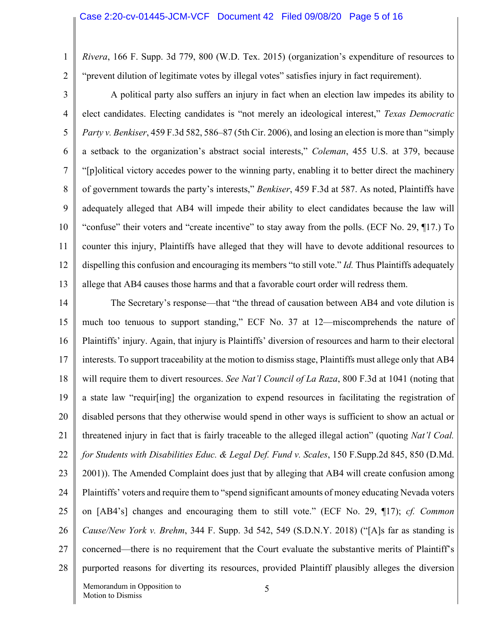*Rivera*, 166 F. Supp. 3d 779, 800 (W.D. Tex. 2015) (organization's expenditure of resources to "prevent dilution of legitimate votes by illegal votes" satisfies injury in fact requirement).

3 4 5 6 7 8 9 10 11 12 13 A political party also suffers an injury in fact when an election law impedes its ability to elect candidates. Electing candidates is "not merely an ideological interest," *Texas Democratic Party v. Benkiser*, 459 F.3d 582, 586–87 (5th Cir. 2006), and losing an election is more than "simply a setback to the organization's abstract social interests," *Coleman*, 455 U.S. at 379, because "[p]olitical victory accedes power to the winning party, enabling it to better direct the machinery of government towards the party's interests," *Benkiser*, 459 F.3d at 587. As noted, Plaintiffs have adequately alleged that AB4 will impede their ability to elect candidates because the law will "confuse" their voters and "create incentive" to stay away from the polls. (ECF No. 29, ¶17.) To counter this injury, Plaintiffs have alleged that they will have to devote additional resources to dispelling this confusion and encouraging its members "to still vote." *Id.* Thus Plaintiffs adequately allege that AB4 causes those harms and that a favorable court order will redress them.

14 15 16 17 18 19 20 21 22 23 24 25 26 27 28 The Secretary's response—that "the thread of causation between AB4 and vote dilution is much too tenuous to support standing," ECF No. 37 at 12—miscomprehends the nature of Plaintiffs' injury. Again, that injury is Plaintiffs' diversion of resources and harm to their electoral interests. To support traceability at the motion to dismiss stage, Plaintiffs must allege only that AB4 will require them to divert resources. *See Nat'l Council of La Raza*, 800 F.3d at 1041 (noting that a state law "requir[ing] the organization to expend resources in facilitating the registration of disabled persons that they otherwise would spend in other ways is sufficient to show an actual or threatened injury in fact that is fairly traceable to the alleged illegal action" (quoting *Nat'l Coal. for Students with Disabilities Educ. & Legal Def. Fund v. Scales*, 150 F.Supp.2d 845, 850 (D.Md. 2001)). The Amended Complaint does just that by alleging that AB4 will create confusion among Plaintiffs' voters and require them to "spend significant amounts of money educating Nevada voters on [AB4's] changes and encouraging them to still vote." (ECF No. 29, ¶17); *cf. Common Cause/New York v. Brehm*, 344 F. Supp. 3d 542, 549 (S.D.N.Y. 2018) ("[A]s far as standing is concerned—there is no requirement that the Court evaluate the substantive merits of Plaintiff's purported reasons for diverting its resources, provided Plaintiff plausibly alleges the diversion

1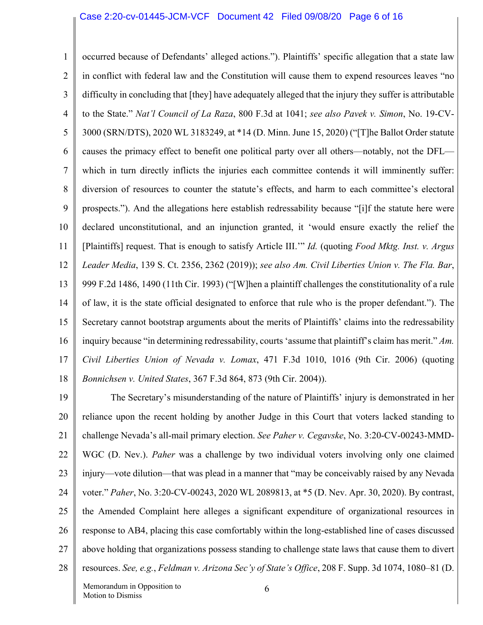#### Case 2:20-cv-01445-JCM-VCF Document 42 Filed 09/08/20 Page 6 of 16

1 2 3 4 5 6 7 8 9 10 11 12 13 14 15 16 17 18 occurred because of Defendants' alleged actions."). Plaintiffs' specific allegation that a state law in conflict with federal law and the Constitution will cause them to expend resources leaves "no difficulty in concluding that [they] have adequately alleged that the injury they suffer is attributable to the State." *Nat'l Council of La Raza*, 800 F.3d at 1041; *see also Pavek v. Simon*, No. 19-CV-3000 (SRN/DTS), 2020 WL 3183249, at \*14 (D. Minn. June 15, 2020) ("[T]he Ballot Order statute causes the primacy effect to benefit one political party over all others—notably, not the DFL which in turn directly inflicts the injuries each committee contends it will imminently suffer: diversion of resources to counter the statute's effects, and harm to each committee's electoral prospects."). And the allegations here establish redressability because "[i]f the statute here were declared unconstitutional, and an injunction granted, it 'would ensure exactly the relief the [Plaintiffs] request. That is enough to satisfy Article III.'" *Id.* (quoting *Food Mktg. Inst. v. Argus Leader Media*, 139 S. Ct. 2356, 2362 (2019)); *see also Am. Civil Liberties Union v. The Fla. Bar*, 999 F.2d 1486, 1490 (11th Cir. 1993) ("[W]hen a plaintiff challenges the constitutionality of a rule of law, it is the state official designated to enforce that rule who is the proper defendant."). The Secretary cannot bootstrap arguments about the merits of Plaintiffs' claims into the redressability inquiry because "in determining redressability, courts 'assume that plaintiff's claim has merit." *Am. Civil Liberties Union of Nevada v. Lomax*, 471 F.3d 1010, 1016 (9th Cir. 2006) (quoting *Bonnichsen v. United States*, 367 F.3d 864, 873 (9th Cir. 2004)).

19 20 21 22 23 24 25 26 27 28 Memorandum in Opposition to 6 The Secretary's misunderstanding of the nature of Plaintiffs' injury is demonstrated in her reliance upon the recent holding by another Judge in this Court that voters lacked standing to challenge Nevada's all-mail primary election. *See Paher v. Cegavske*, No. 3:20-CV-00243-MMD-WGC (D. Nev.). *Paher* was a challenge by two individual voters involving only one claimed injury—vote dilution—that was plead in a manner that "may be conceivably raised by any Nevada voter." *Paher*, No. 3:20-CV-00243, 2020 WL 2089813, at \*5 (D. Nev. Apr. 30, 2020). By contrast, the Amended Complaint here alleges a significant expenditure of organizational resources in response to AB4, placing this case comfortably within the long-established line of cases discussed above holding that organizations possess standing to challenge state laws that cause them to divert resources. *See, e.g.*, *Feldman v. Arizona Sec'y of State's Office*, 208 F. Supp. 3d 1074, 1080–81 (D.

Motion to Dismiss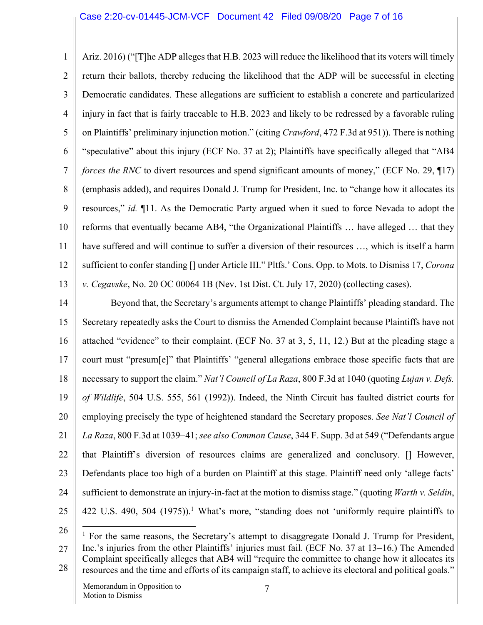1 2 3 4 5 6 7 8 9 10 11 12 13 Ariz. 2016) ("[T]he ADP alleges that H.B. 2023 will reduce the likelihood that its voters will timely return their ballots, thereby reducing the likelihood that the ADP will be successful in electing Democratic candidates. These allegations are sufficient to establish a concrete and particularized injury in fact that is fairly traceable to H.B. 2023 and likely to be redressed by a favorable ruling on Plaintiffs' preliminary injunction motion." (citing *Crawford*, 472 F.3d at 951)). There is nothing "speculative" about this injury (ECF No. 37 at 2); Plaintiffs have specifically alleged that "AB4 *forces the RNC* to divert resources and spend significant amounts of money," (ECF No. 29, ¶17) (emphasis added), and requires Donald J. Trump for President, Inc. to "change how it allocates its resources," *id.* ¶11. As the Democratic Party argued when it sued to force Nevada to adopt the reforms that eventually became AB4, "the Organizational Plaintiffs … have alleged … that they have suffered and will continue to suffer a diversion of their resources …, which is itself a harm sufficient to confer standing [] under Article III." Pltfs.' Cons. Opp. to Mots. to Dismiss 17, *Corona v. Cegavske*, No. 20 OC 00064 1B (Nev. 1st Dist. Ct. July 17, 2020) (collecting cases).

14 15 16 17 18 19 20 21 22 23 24 25 Beyond that, the Secretary's arguments attempt to change Plaintiffs' pleading standard. The Secretary repeatedly asks the Court to dismiss the Amended Complaint because Plaintiffs have not attached "evidence" to their complaint. (ECF No. 37 at 3, 5, 11, 12.) But at the pleading stage a court must "presum[e]" that Plaintiffs' "general allegations embrace those specific facts that are necessary to support the claim." *Nat'l Council of La Raza*, 800 F.3d at 1040 (quoting *Lujan v. Defs. of Wildlife*, 504 U.S. 555, 561 (1992)). Indeed, the Ninth Circuit has faulted district courts for employing precisely the type of heightened standard the Secretary proposes. *See Nat'l Council of La Raza*, 800 F.3d at 1039-41; *see also Common Cause*, 344 F. Supp. 3d at 549 ("Defendants argue that Plaintiff's diversion of resources claims are generalized and conclusory. [] However, Defendants place too high of a burden on Plaintiff at this stage. Plaintiff need only 'allege facts' sufficient to demonstrate an injury-in-fact at the motion to dismiss stage." (quoting *Warth v. Seldin*, 422 U.S. 490, 504 (1975)).<sup>1</sup> What's more, "standing does not 'uniformly require plaintiffs to

26

27 28  $<sup>1</sup>$  For the same reasons, the Secretary's attempt to disaggregate Donald J. Trump for President,</sup> Inc.'s injuries from the other Plaintiffs' injuries must fail. (ECF No. 37 at 13-16.) The Amended Complaint specifically alleges that AB4 will "require the committee to change how it allocates its resources and the time and efforts of its campaign staff, to achieve its electoral and political goals."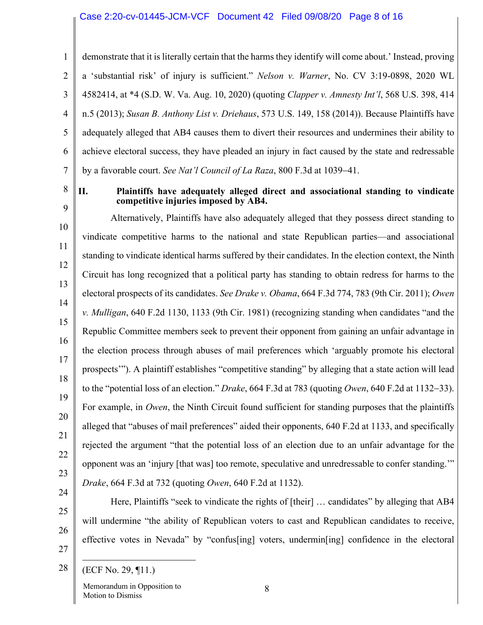### Case 2:20-cv-01445-JCM-VCF Document 42 Filed 09/08/20 Page 8 of 16

1 2 3 4 5 6 7 demonstrate that it is literally certain that the harms they identify will come about.' Instead, proving a 'substantial risk' of injury is sufficient." *Nelson v. Warner*, No. CV 3:19-0898, 2020 WL 4582414, at \*4 (S.D. W. Va. Aug. 10, 2020) (quoting *Clapper v. Amnesty Int'l*, 568 U.S. 398, 414 n.5 (2013); *Susan B. Anthony List v. Driehaus*, 573 U.S. 149, 158 (2014)). Because Plaintiffs have adequately alleged that AB4 causes them to divert their resources and undermines their ability to achieve electoral success, they have pleaded an injury in fact caused by the state and redressable by a favorable court. *See Nat'l Council of La Raza*, 800 F.3d at 1039-41.

8

9

### **II. Plaintiffs have adequately alleged direct and associational standing to vindicate competitive injuries imposed by AB4.**

10 11 12 13 14 15 16 17 18 19 20 22 23 24 Alternatively, Plaintiffs have also adequately alleged that they possess direct standing to vindicate competitive harms to the national and state Republican parties—and associational standing to vindicate identical harms suffered by their candidates. In the election context, the Ninth Circuit has long recognized that a political party has standing to obtain redress for harms to the electoral prospects of its candidates. *See Drake v. Obama*, 664 F.3d 774, 783 (9th Cir. 2011); *Owen v. Mulligan*, 640 F.2d 1130, 1133 (9th Cir. 1981) (recognizing standing when candidates "and the Republic Committee members seek to prevent their opponent from gaining an unfair advantage in the election process through abuses of mail preferences which 'arguably promote his electoral prospects'"). A plaintiff establishes "competitive standing" by alleging that a state action will lead to the "potential loss of an election." *Drake*, 664 F.3d at 783 (quoting *Owen*, 640 F.2d at 1132-33). For example, in *Owen*, the Ninth Circuit found sufficient for standing purposes that the plaintiffs alleged that "abuses of mail preferences" aided their opponents, 640 F.2d at 1133, and specifically rejected the argument "that the potential loss of an election due to an unfair advantage for the opponent was an 'injury [that was] too remote, speculative and unredressable to confer standing.'" *Drake*, 664 F.3d at 732 (quoting *Owen*, 640 F.2d at 1132).

Here, Plaintiffs "seek to vindicate the rights of [their] … candidates" by alleging that AB4 will undermine "the ability of Republican voters to cast and Republican candidates to receive, effective votes in Nevada" by "confus[ing] voters, undermin[ing] confidence in the electoral

27 28

25

26

21

(ECF No. 29, ¶11.)

Memorandum in Opposition to Motion to Dismiss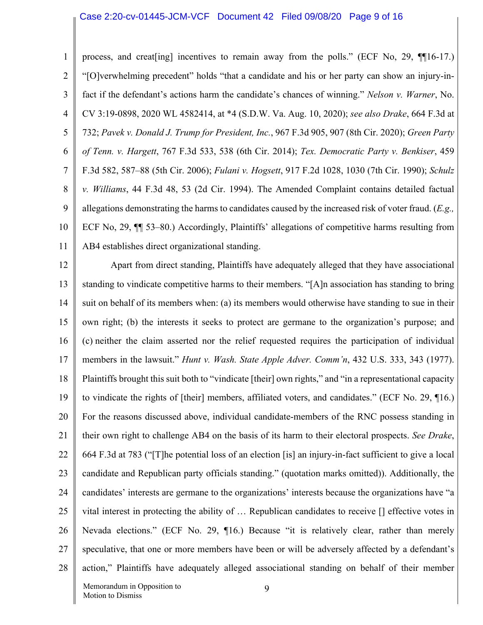#### Case 2:20-cv-01445-JCM-VCF Document 42 Filed 09/08/20 Page 9 of 16

1

2 3 4 5 6 7 8 9 10 11 "[O]verwhelming precedent" holds "that a candidate and his or her party can show an injury-infact if the defendant's actions harm the candidate's chances of winning." *Nelson v. Warner*, No. CV 3:19-0898, 2020 WL 4582414, at \*4 (S.D.W. Va. Aug. 10, 2020); *see also Drake*, 664 F.3d at 732; *Pavek v. Donald J. Trump for President, Inc.*, 967 F.3d 905, 907 (8th Cir. 2020); *Green Party of Tenn. v. Hargett*, 767 F.3d 533, 538 (6th Cir. 2014); *Tex. Democratic Party v. Benkiser*, 459 F.3d 582, 587–88 (5th Cir. 2006); *Fulani v. Hogsett*, 917 F.2d 1028, 1030 (7th Cir. 1990); *Schulz v. Williams*, 44 F.3d 48, 53 (2d Cir. 1994). The Amended Complaint contains detailed factual allegations demonstrating the harms to candidates caused by the increased risk of voter fraud. (*E.g.,*  ECF No, 29, ¶¶ 53–80.) Accordingly, Plaintiffs' allegations of competitive harms resulting from AB4 establishes direct organizational standing.

12 13 14 15 16 17 18 19 20 21 22 23 24 25 26 27 28 Apart from direct standing, Plaintiffs have adequately alleged that they have associational standing to vindicate competitive harms to their members. "[A]n association has standing to bring suit on behalf of its members when: (a) its members would otherwise have standing to sue in their own right; (b) the interests it seeks to protect are germane to the organization's purpose; and (c) neither the claim asserted nor the relief requested requires the participation of individual members in the lawsuit." *Hunt v. Wash. State Apple Adver. Comm'n*, 432 U.S. 333, 343 (1977). Plaintiffs brought this suit both to "vindicate [their] own rights," and "in a representational capacity to vindicate the rights of [their] members, affiliated voters, and candidates." (ECF No. 29, ¶16.) For the reasons discussed above, individual candidate-members of the RNC possess standing in their own right to challenge AB4 on the basis of its harm to their electoral prospects. *See Drake*, 664 F.3d at 783 ("[T]he potential loss of an election [is] an injury-in-fact sufficient to give a local candidate and Republican party officials standing." (quotation marks omitted)). Additionally, the candidates' interests are germane to the organizations' interests because the organizations have "a vital interest in protecting the ability of … Republican candidates to receive [] effective votes in Nevada elections." (ECF No. 29, ¶16.) Because "it is relatively clear, rather than merely speculative, that one or more members have been or will be adversely affected by a defendant's action," Plaintiffs have adequately alleged associational standing on behalf of their member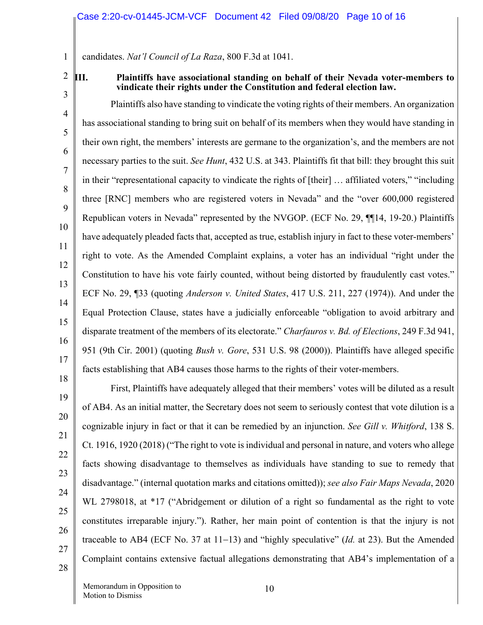1 candidates. *Nat'l Council of La Raza*, 800 F.3d at 1041.

2

3

4

5

6

7

8

9

10

11

12

13

14

15

16

17

### **III. Plaintiffs have associational standing on behalf of their Nevada voter-members to vindicate their rights under the Constitution and federal election law.**

Plaintiffs also have standing to vindicate the voting rights of their members. An organization has associational standing to bring suit on behalf of its members when they would have standing in their own right, the members' interests are germane to the organization's, and the members are not necessary parties to the suit. *See Hunt*, 432 U.S. at 343. Plaintiffs fit that bill: they brought this suit in their "representational capacity to vindicate the rights of [their] … affiliated voters," "including three [RNC] members who are registered voters in Nevada" and the "over 600,000 registered Republican voters in Nevada" represented by the NVGOP. (ECF No. 29, ¶¶14, 19-20.) Plaintiffs have adequately pleaded facts that, accepted as true, establish injury in fact to these voter-members' right to vote. As the Amended Complaint explains, a voter has an individual "right under the Constitution to have his vote fairly counted, without being distorted by fraudulently cast votes." ECF No. 29, ¶33 (quoting *Anderson v. United States*, 417 U.S. 211, 227 (1974)). And under the Equal Protection Clause, states have a judicially enforceable "obligation to avoid arbitrary and disparate treatment of the members of its electorate." *Charfauros v. Bd. of Elections*, 249 F.3d 941, 951 (9th Cir. 2001) (quoting *Bush v. Gore*, 531 U.S. 98 (2000)). Plaintiffs have alleged specific facts establishing that AB4 causes those harms to the rights of their voter-members.

27

28

First, Plaintiffs have adequately alleged that their members' votes will be diluted as a result of AB4. As an initial matter, the Secretary does not seem to seriously contest that vote dilution is a cognizable injury in fact or that it can be remedied by an injunction. *See Gill v. Whitford*, 138 S. Ct. 1916, 1920 (2018) ("The right to vote is individual and personal in nature, and voters who allege facts showing disadvantage to themselves as individuals have standing to sue to remedy that disadvantage." (internal quotation marks and citations omitted)); *see also Fair Maps Nevada*, 2020 WL 2798018, at \*17 ("Abridgement or dilution of a right so fundamental as the right to vote constitutes irreparable injury."). Rather, her main point of contention is that the injury is not traceable to AB4 (ECF No. 37 at 11-13) and "highly speculative" (*Id.* at 23). But the Amended Complaint contains extensive factual allegations demonstrating that AB4's implementation of a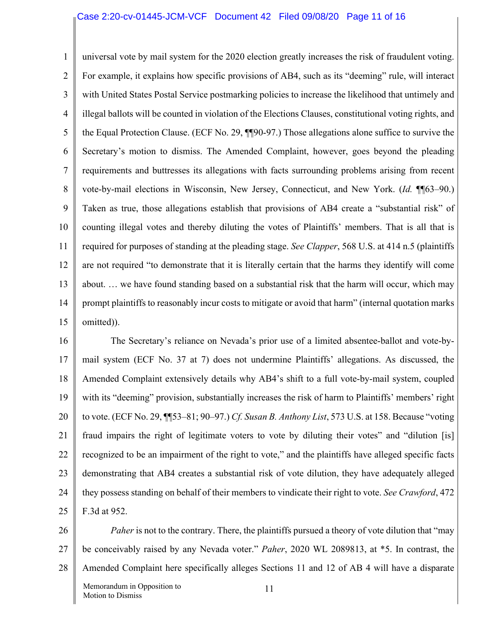### Case 2:20-cv-01445-JCM-VCF Document 42 Filed 09/08/20 Page 11 of 16

1 2 3 4 5 6 7 8 9 10 11 12 13 14 15 universal vote by mail system for the 2020 election greatly increases the risk of fraudulent voting. For example, it explains how specific provisions of AB4, such as its "deeming" rule, will interact with United States Postal Service postmarking policies to increase the likelihood that untimely and illegal ballots will be counted in violation of the Elections Clauses, constitutional voting rights, and the Equal Protection Clause. (ECF No. 29, ¶¶90-97.) Those allegations alone suffice to survive the Secretary's motion to dismiss. The Amended Complaint, however, goes beyond the pleading requirements and buttresses its allegations with facts surrounding problems arising from recent vote-by-mail elections in Wisconsin, New Jersey, Connecticut, and New York. (*Id.* ¶¶63–90.) Taken as true, those allegations establish that provisions of AB4 create a "substantial risk" of counting illegal votes and thereby diluting the votes of Plaintiffs' members. That is all that is required for purposes of standing at the pleading stage. *See Clapper*, 568 U.S. at 414 n.5 (plaintiffs are not required "to demonstrate that it is literally certain that the harms they identify will come about. … we have found standing based on a substantial risk that the harm will occur, which may prompt plaintiffs to reasonably incur costs to mitigate or avoid that harm" (internal quotation marks omitted)).

16 17 18 19 20 21 22 23 24 25 The Secretary's reliance on Nevada's prior use of a limited absentee-ballot and vote-bymail system (ECF No. 37 at 7) does not undermine Plaintiffs' allegations. As discussed, the Amended Complaint extensively details why AB4's shift to a full vote-by-mail system, coupled with its "deeming" provision, substantially increases the risk of harm to Plaintiffs' members' right to vote. (ECF No. 29, ¶¶53–81; 90–97.) *Cf. Susan B. Anthony List*, 573 U.S. at 158. Because "voting fraud impairs the right of legitimate voters to vote by diluting their votes" and "dilution [is] recognized to be an impairment of the right to vote," and the plaintiffs have alleged specific facts demonstrating that AB4 creates a substantial risk of vote dilution, they have adequately alleged they possess standing on behalf of their members to vindicate their right to vote. *See Crawford*, 472 F.3d at 952.

26 27 28 Memorandum in Opposition to Motion to Dismiss 11 *Paher* is not to the contrary. There, the plaintiffs pursued a theory of vote dilution that "may" be conceivably raised by any Nevada voter." *Paher*, 2020 WL 2089813, at \*5. In contrast, the Amended Complaint here specifically alleges Sections 11 and 12 of AB 4 will have a disparate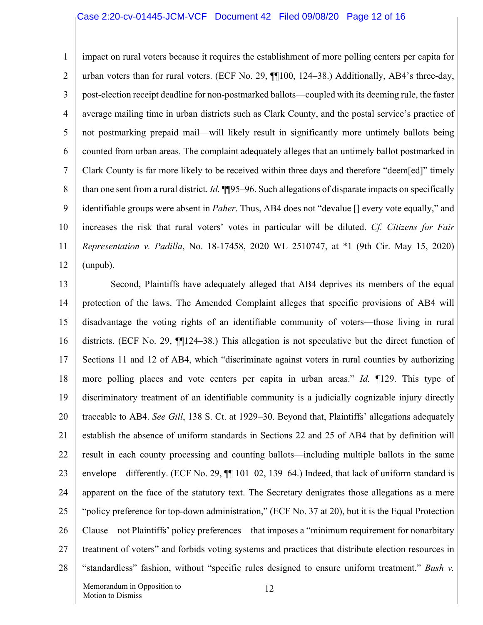1 2 3 4 5 6 7 8 9 10 11 12 impact on rural voters because it requires the establishment of more polling centers per capita for urban voters than for rural voters. (ECF No. 29, ¶¶100, 124–38.) Additionally, AB4's three-day, post-election receipt deadline for non-postmarked ballots—coupled with its deeming rule, the faster average mailing time in urban districts such as Clark County, and the postal service's practice of not postmarking prepaid mail—will likely result in significantly more untimely ballots being counted from urban areas. The complaint adequately alleges that an untimely ballot postmarked in Clark County is far more likely to be received within three days and therefore "deem[ed]" timely than one sent from a rural district. *Id.* ¶¶95–96. Such allegations of disparate impacts on specifically identifiable groups were absent in *Paher*. Thus, AB4 does not "devalue [] every vote equally," and increases the risk that rural voters' votes in particular will be diluted. *Cf. Citizens for Fair Representation v. Padilla*, No. 18-17458, 2020 WL 2510747, at \*1 (9th Cir. May 15, 2020) (unpub).

13 14 15 16 17 18 19 20 21 22 23 24 25 26 27 28 Second, Plaintiffs have adequately alleged that AB4 deprives its members of the equal protection of the laws. The Amended Complaint alleges that specific provisions of AB4 will disadvantage the voting rights of an identifiable community of voters—those living in rural districts. (ECF No. 29, ¶¶124–38.) This allegation is not speculative but the direct function of Sections 11 and 12 of AB4, which "discriminate against voters in rural counties by authorizing more polling places and vote centers per capita in urban areas." *Id.* ¶129. This type of discriminatory treatment of an identifiable community is a judicially cognizable injury directly traceable to AB4. *See Gill*, 138 S. Ct. at 1929-30. Beyond that, Plaintiffs' allegations adequately establish the absence of uniform standards in Sections 22 and 25 of AB4 that by definition will result in each county processing and counting ballots—including multiple ballots in the same envelope—differently. (ECF No. 29,  $\P$  101–02, 139–64.) Indeed, that lack of uniform standard is apparent on the face of the statutory text. The Secretary denigrates those allegations as a mere "policy preference for top-down administration," (ECF No. 37 at 20), but it is the Equal Protection Clause—not Plaintiffs' policy preferences—that imposes a "minimum requirement for nonarbitary treatment of voters" and forbids voting systems and practices that distribute election resources in "standardless" fashion, without "specific rules designed to ensure uniform treatment." *Bush v.*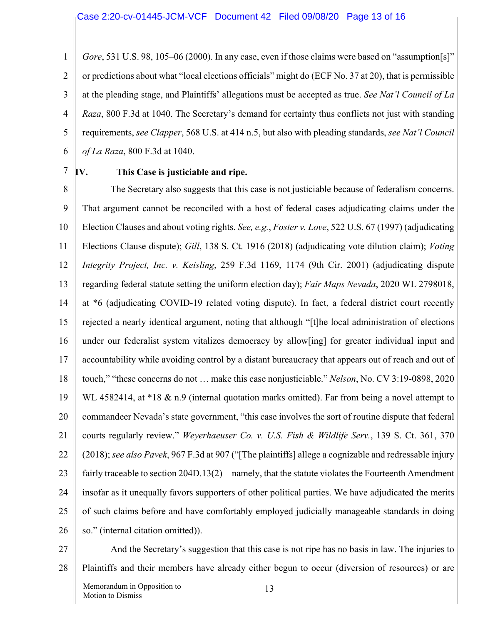1 2 3 4 5 6 *Gore*, 531 U.S. 98, 105–06 (2000). In any case, even if those claims were based on "assumption[s]" or predictions about what "local elections officials" might do (ECF No. 37 at 20), that is permissible at the pleading stage, and Plaintiffs' allegations must be accepted as true. *See Nat'l Council of La Raza*, 800 F.3d at 1040. The Secretary's demand for certainty thus conflicts not just with standing requirements, *see Clapper*, 568 U.S. at 414 n.5, but also with pleading standards, *see Nat'l Council of La Raza*, 800 F.3d at 1040.

7

# **IV. This Case is justiciable and ripe.**

8 9 10 11 12 13 14 15 16 17 18 19 20 21 22 23 24 25 26 The Secretary also suggests that this case is not justiciable because of federalism concerns. That argument cannot be reconciled with a host of federal cases adjudicating claims under the Election Clauses and about voting rights. *See, e.g.*, *Foster v. Love*, 522 U.S. 67 (1997) (adjudicating Elections Clause dispute); *Gill*, 138 S. Ct. 1916 (2018) (adjudicating vote dilution claim); *Voting Integrity Project, Inc. v. Keisling*, 259 F.3d 1169, 1174 (9th Cir. 2001) (adjudicating dispute regarding federal statute setting the uniform election day); *Fair Maps Nevada*, 2020 WL 2798018, at \*6 (adjudicating COVID-19 related voting dispute). In fact, a federal district court recently rejected a nearly identical argument, noting that although "[t]he local administration of elections under our federalist system vitalizes democracy by allow[ing] for greater individual input and accountability while avoiding control by a distant bureaucracy that appears out of reach and out of touch," "these concerns do not … make this case nonjusticiable." *Nelson*, No. CV 3:19-0898, 2020 WL 4582414, at \*18 & n.9 (internal quotation marks omitted). Far from being a novel attempt to commandeer Nevada's state government, "this case involves the sort of routine dispute that federal courts regularly review." *Weyerhaeuser Co. v. U.S. Fish & Wildlife Serv.*, 139 S. Ct. 361, 370 (2018); *see also Pavek*, 967 F.3d at 907 ("[The plaintiffs] allege a cognizable and redressable injury fairly traceable to section 204D.13(2)—namely, that the statute violates the Fourteenth Amendment insofar as it unequally favors supporters of other political parties. We have adjudicated the merits of such claims before and have comfortably employed judicially manageable standards in doing so." (internal citation omitted)).

27

28 And the Secretary's suggestion that this case is not ripe has no basis in law. The injuries to Plaintiffs and their members have already either begun to occur (diversion of resources) or are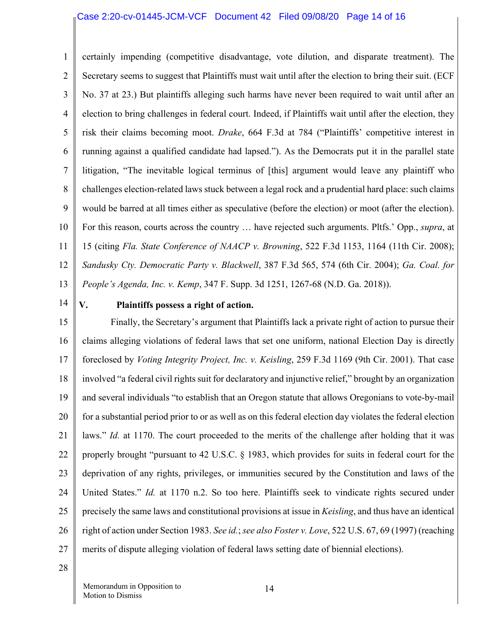### Case 2:20-cv-01445-JCM-VCF Document 42 Filed 09/08/20 Page 14 of 16

1 2 3 4 5 6 7 8 9 10 11 12 13 certainly impending (competitive disadvantage, vote dilution, and disparate treatment). The Secretary seems to suggest that Plaintiffs must wait until after the election to bring their suit. (ECF No. 37 at 23.) But plaintiffs alleging such harms have never been required to wait until after an election to bring challenges in federal court. Indeed, if Plaintiffs wait until after the election, they risk their claims becoming moot. *Drake*, 664 F.3d at 784 ("Plaintiffs' competitive interest in running against a qualified candidate had lapsed."). As the Democrats put it in the parallel state litigation, "The inevitable logical terminus of [this] argument would leave any plaintiff who challenges election-related laws stuck between a legal rock and a prudential hard place: such claims would be barred at all times either as speculative (before the election) or moot (after the election). For this reason, courts across the country … have rejected such arguments. Pltfs.' Opp., *supra*, at 15 (citing *Fla. State Conference of NAACP v. Browning*, 522 F.3d 1153, 1164 (11th Cir. 2008); *Sandusky Cty. Democratic Party v. Blackwell*, 387 F.3d 565, 574 (6th Cir. 2004); *Ga. Coal. for People's Agenda, Inc. v. Kemp*, 347 F. Supp. 3d 1251, 1267-68 (N.D. Ga. 2018)).

14

# **V. Plaintiffs possess a right of action.**

15 16 17 18 19 20 21 22 23 24 25 26 27 Finally, the Secretary's argument that Plaintiffs lack a private right of action to pursue their claims alleging violations of federal laws that set one uniform, national Election Day is directly foreclosed by *Voting Integrity Project, Inc. v. Keisling*, 259 F.3d 1169 (9th Cir. 2001). That case involved "a federal civil rights suit for declaratory and injunctive relief," brought by an organization and several individuals "to establish that an Oregon statute that allows Oregonians to vote-by-mail for a substantial period prior to or as well as on this federal election day violates the federal election laws." *Id.* at 1170. The court proceeded to the merits of the challenge after holding that it was properly brought "pursuant to 42 U.S.C. § 1983, which provides for suits in federal court for the deprivation of any rights, privileges, or immunities secured by the Constitution and laws of the United States." *Id.* at 1170 n.2. So too here. Plaintiffs seek to vindicate rights secured under precisely the same laws and constitutional provisions at issue in *Keisling*, and thus have an identical right of action under Section 1983. *See id.*; *see also Foster v. Love*, 522 U.S. 67, 69 (1997) (reaching merits of dispute alleging violation of federal laws setting date of biennial elections).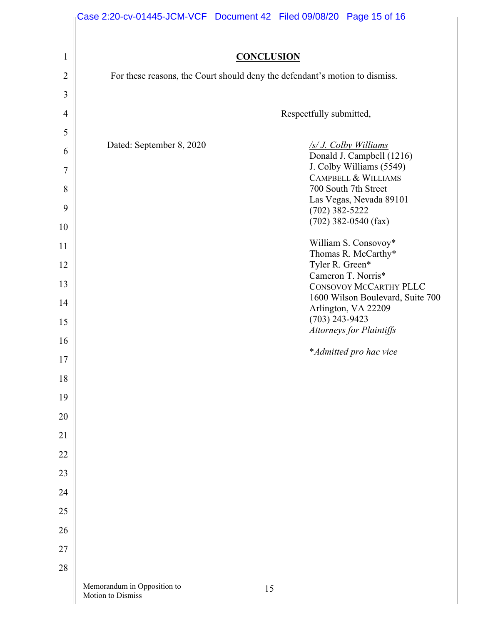|                     | Case 2:20-cv-01445-JCM-VCF  Document 42  Filed 09/08/20  Page 15 of 16      |    |                  |                                                         |  |  |  |
|---------------------|-----------------------------------------------------------------------------|----|------------------|---------------------------------------------------------|--|--|--|
|                     |                                                                             |    |                  |                                                         |  |  |  |
| $\mathbf{1}$        | <b>CONCLUSION</b>                                                           |    |                  |                                                         |  |  |  |
| $\overline{2}$      | For these reasons, the Court should deny the defendant's motion to dismiss. |    |                  |                                                         |  |  |  |
| 3<br>$\overline{4}$ |                                                                             |    |                  |                                                         |  |  |  |
| 5                   | Respectfully submitted,                                                     |    |                  |                                                         |  |  |  |
| 6                   | Dated: September 8, 2020                                                    |    |                  | <u>/s/ J. Colby Williams</u>                            |  |  |  |
| 7                   |                                                                             |    |                  | Donald J. Campbell (1216)<br>J. Colby Williams (5549)   |  |  |  |
| 8                   |                                                                             |    |                  | <b>CAMPBELL &amp; WILLIAMS</b><br>700 South 7th Street  |  |  |  |
| 9                   |                                                                             |    | $(702)$ 382-5222 | Las Vegas, Nevada 89101                                 |  |  |  |
| 10                  |                                                                             |    |                  | $(702)$ 382-0540 (fax)                                  |  |  |  |
| 11                  |                                                                             |    |                  | William S. Consovoy*                                    |  |  |  |
| 12                  |                                                                             |    | Tyler R. Green*  | Thomas R. McCarthy*                                     |  |  |  |
| 13                  |                                                                             |    |                  | Cameron T. Norris*<br>CONSOVOY MCCARTHY PLLC            |  |  |  |
| 14                  |                                                                             |    |                  | 1600 Wilson Boulevard, Suite 700<br>Arlington, VA 22209 |  |  |  |
| 15                  |                                                                             |    | $(703)$ 243-9423 |                                                         |  |  |  |
| 16                  |                                                                             |    |                  | <b>Attorneys for Plaintiffs</b>                         |  |  |  |
| $17\,$              |                                                                             |    |                  | *Admitted pro hac vice                                  |  |  |  |
| 18                  |                                                                             |    |                  |                                                         |  |  |  |
| 19                  |                                                                             |    |                  |                                                         |  |  |  |
| 20                  |                                                                             |    |                  |                                                         |  |  |  |
| 21                  |                                                                             |    |                  |                                                         |  |  |  |
| 22                  |                                                                             |    |                  |                                                         |  |  |  |
| 23                  |                                                                             |    |                  |                                                         |  |  |  |
| 24                  |                                                                             |    |                  |                                                         |  |  |  |
| 25                  |                                                                             |    |                  |                                                         |  |  |  |
| 26                  |                                                                             |    |                  |                                                         |  |  |  |
| 27                  |                                                                             |    |                  |                                                         |  |  |  |
| 28                  |                                                                             |    |                  |                                                         |  |  |  |
|                     | Memorandum in Opposition to<br>Motion to Dismiss                            | 15 |                  |                                                         |  |  |  |